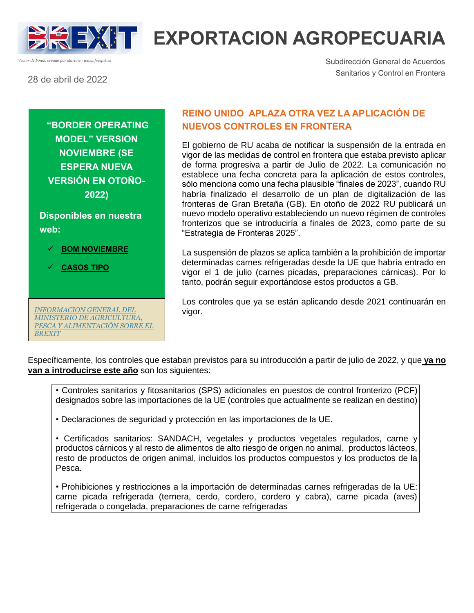

# **EXPORTACION AGROPECUARIA**

28 de abril de 2022

*Vector de Fondo creado por starline - www.freepik.es*

Subdirección General de Acuerdos Sanitarios y Control en Frontera

**"BORDER OPERATING MODEL" VERSION NOVIEMBRE (SE ESPERA NUEVA VERSIÓN EN OTOÑO-2022)**

**Disponibles en nuestra web:**

- **BOM NOVIEMBRE**
- **[CASOS TIPO](https://www.mapa.gob.es/es/ganaderia/temas/comercio-exterior-ganadero/export/brexit-exportacion.aspx#:~:text=20211115_november_casestudy_publishing)**

*[INFORMACION GENERAL DEL](https://www.mapa.gob.es/es/ministerio/ministerio-exterior/brexit/default.aspx)  [MINISTERIO DE AGRICULTURA,](https://www.mapa.gob.es/es/ministerio/ministerio-exterior/brexit/default.aspx)  [PESCA Y ALIMENTACIÓN SOBRE EL](https://www.mapa.gob.es/es/ministerio/ministerio-exterior/brexit/default.aspx)  [BREXIT](https://www.mapa.gob.es/es/ministerio/ministerio-exterior/brexit/default.aspx)*

### **REINO UNIDO APLAZA OTRA VEZ LA APLICACIÓN DE NUEVOS CONTROLES EN FRONTERA**

El gobierno de RU acaba de notificar la suspensión de la entrada en vigor de las medidas de control en frontera que estaba previsto aplicar de forma progresiva a partir de Julio de 2022. La comunicación no establece una fecha concreta para la aplicación de estos controles, sólo menciona como una fecha plausible "finales de 2023", cuando RU habría finalizado el desarrollo de un plan de digitalización de las fronteras de Gran Bretaña (GB). En otoño de 2022 RU publicará un nuevo modelo operativo estableciendo un nuevo régimen de controles fronterizos que se introduciría a finales de 2023, como parte de su "Estrategia de Fronteras 2025".

La suspensión de plazos se aplica también a la prohibición de importar determinadas carnes refrigeradas desde la UE que habría entrado en vigor el 1 de julio (carnes picadas, preparaciones cárnicas). Por lo tanto, podrán seguir exportándose estos productos a GB.

Los controles que ya se están aplicando desde 2021 continuarán en vigor.

Específicamente, los controles que estaban previstos para su introducción a partir de julio de 2022, y que **ya no van a introducirse este año** son los siguientes:

• Controles sanitarios y fitosanitarios (SPS) adicionales en puestos de control fronterizo (PCF) designados sobre las importaciones de la UE (controles que actualmente se realizan en destino)

• Declaraciones de seguridad y protección en las importaciones de la UE.

• Certificados sanitarios: SANDACH, vegetales y productos vegetales regulados, carne y productos cárnicos y al resto de alimentos de alto riesgo de origen no animal, productos lácteos, resto de productos de origen animal, incluidos los productos compuestos y los productos de la Pesca.

• Prohibiciones y restricciones a la importación de determinadas carnes refrigeradas de la UE: carne picada refrigerada (ternera, cerdo, cordero, cordero y cabra), carne picada (aves) refrigerada o congelada, preparaciones de carne refrigeradas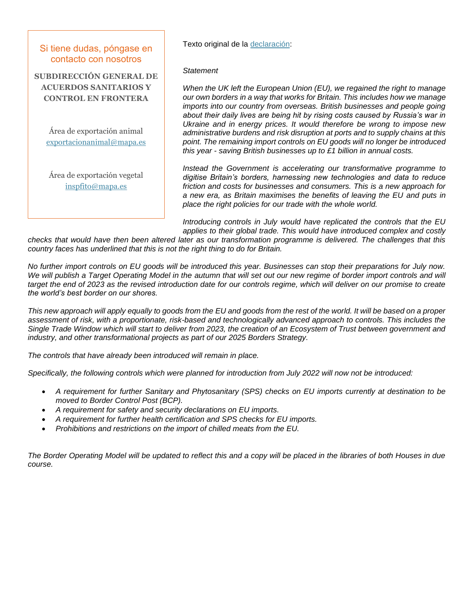#### Si tiene dudas, póngase en contacto con nosotros

**SUBDIRECCIÓN GENERAL DE ACUERDOS SANITARIOS Y CONTROL EN FRONTERA**

Área de exportación animal [exportacionanimal@mapa.es](mailto:exportacionanimal@mapa.es)

Área de exportación vegetal [inspfito@mapa.es](mailto:inspfito@mapa.es)

#### Texto original de la [declaración:](https://questions-statements.parliament.uk/written-statements/detail/2022-04-28/hcws796)

#### *Statement*

*When the UK left the European Union (EU), we regained the right to manage our own borders in a way that works for Britain. This includes how we manage imports into our country from overseas. British businesses and people going about their daily lives are being hit by rising costs caused by Russia's war in Ukraine and in energy prices. It would therefore be wrong to impose new administrative burdens and risk disruption at ports and to supply chains at this point. The remaining import controls on EU goods will no longer be introduced this year - saving British businesses up to £1 billion in annual costs.*

*Instead the Government is accelerating our transformative programme to digitise Britain's borders, harnessing new technologies and data to reduce friction and costs for businesses and consumers. This is a new approach for a new era, as Britain maximises the benefits of leaving the EU and puts in place the right policies for our trade with the whole world.*

*Introducing controls in July would have replicated the controls that the EU applies to their global trade. This would have introduced complex and costly* 

*checks that would have then been altered later as our transformation programme is delivered. The challenges that this country faces has underlined that this is not the right thing to do for Britain.*

*No further import controls on EU goods will be introduced this year. Businesses can stop their preparations for July now. We will publish a Target Operating Model in the autumn that will set out our new regime of border import controls and will target the end of 2023 as the revised introduction date for our controls regime, which will deliver on our promise to create the world's best border on our shores.*

*This new approach will apply equally to goods from the EU and goods from the rest of the world. It will be based on a proper assessment of risk, with a proportionate, risk-based and technologically advanced approach to controls. This includes the Single Trade Window which will start to deliver from 2023, the creation of an Ecosystem of Trust between government and industry, and other transformational projects as part of our 2025 Borders Strategy.*

*The controls that have already been introduced will remain in place.*

*Specifically, the following controls which were planned for introduction from July 2022 will now not be introduced:*

- *A requirement for further Sanitary and Phytosanitary (SPS) checks on EU imports currently at destination to be moved to Border Control Post (BCP).*
- *A requirement for safety and security declarations on EU imports.*
- *A requirement for further health certification and SPS checks for EU imports.*
- *Prohibitions and restrictions on the import of chilled meats from the EU.*

*The Border Operating Model will be updated to reflect this and a copy will be placed in the libraries of both Houses in due course.*